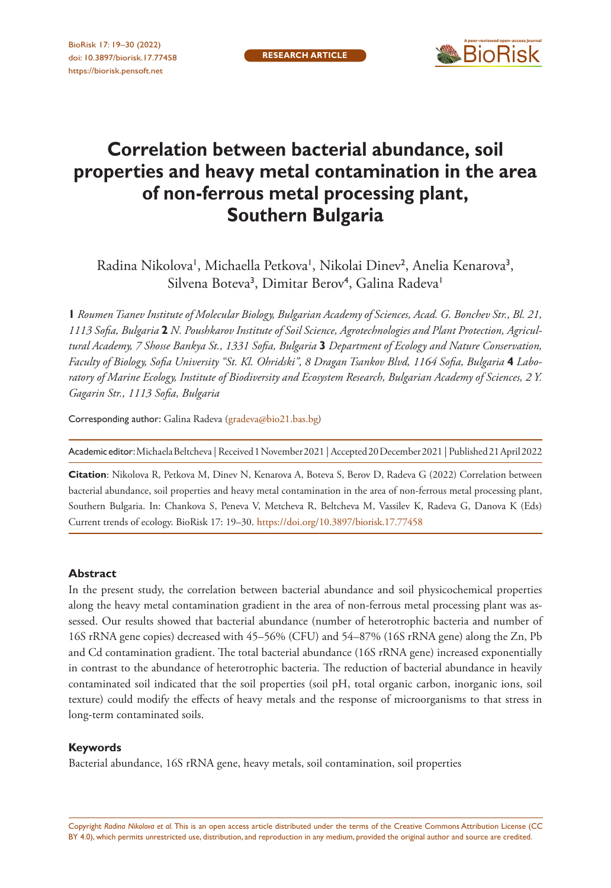

# **Correlation between bacterial abundance, soil properties and heavy metal contamination in the area of non-ferrous metal processing plant, Southern Bulgaria**

Radina Nikolova', Michaella Petkova', Nikolai Dinev<sup>2</sup>, Anelia Kenarova<sup>3</sup>, Silvena Boteva<sup>3</sup>, Dimitar Berov<sup>4</sup>, Galina Radeva<sup>1</sup>

**1** *Roumen Tsanev Institute of Molecular Biology, Bulgarian Academy of Sciences, Acad. G. Bonchev Str., Bl. 21, 1113 Sofia, Bulgaria* **2** *N. Poushkarov Institute of Soil Science, Agrotechnologies and Plant Protection, Agricultural Academy, 7 Shosse Bankya St., 1331 Sofia, Bulgaria* **3** *Department of Ecology and Nature Conservation, Faculty of Biology, Sofia University "St. Kl. Ohridski", 8 Dragan Tsankov Blvd, 1164 Sofia, Bulgaria* **4** *Laboratory of Marine Ecology, Institute of Biodiversity and Ecosystem Research, Bulgarian Academy of Sciences, 2 Y. Gagarin Str., 1113 Sofia, Bulgaria*

Corresponding author: Galina Radeva ([gradeva@bio21.bas.bg\)](mailto:gradeva@bio21.bas.bg)

Academic editor: Michaela Beltcheva | Received 1 November 2021 | Accepted 20 December 2021 | Published 21 April 2022

**Citation**: Nikolova R, Petkova M, Dinev N, Kenarova A, Boteva S, Berov D, Radeva G (2022) Correlation between bacterial abundance, soil properties and heavy metal contamination in the area of non-ferrous metal processing plant, Southern Bulgaria. In: Chankova S, Peneva V, Metcheva R, Beltcheva M, Vassilev K, Radeva G, Danova K (Eds) Current trends of ecology. BioRisk 17: 19–30. <https://doi.org/10.3897/biorisk.17.77458>

#### **Abstract**

In the present study, the correlation between bacterial abundance and soil physicochemical properties along the heavy metal contamination gradient in the area of non-ferrous metal processing plant was assessed. Our results showed that bacterial abundance (number of heterotrophic bacteria and number of 16S rRNA gene copies) decreased with 45–56% (CFU) and 54–87% (16S rRNA gene) along the Zn, Pb and Cd contamination gradient. The total bacterial abundance (16S rRNA gene) increased exponentially in contrast to the abundance of heterotrophic bacteria. The reduction of bacterial abundance in heavily contaminated soil indicated that the soil properties (soil pH, total organic carbon, inorganic ions, soil texture) could modify the effects of heavy metals and the response of microorganisms to that stress in long-term contaminated soils.

#### **Keywords**

Bacterial abundance, 16S rRNA gene, heavy metals, soil contamination, soil properties

Copyright *Radina Nikolova et al.* This is an open access article distributed under the terms of the [Creative Commons Attribution License \(CC](http://creativecommons.org/licenses/by/4.0/)  [BY 4.0\)](http://creativecommons.org/licenses/by/4.0/), which permits unrestricted use, distribution, and reproduction in any medium, provided the original author and source are credited.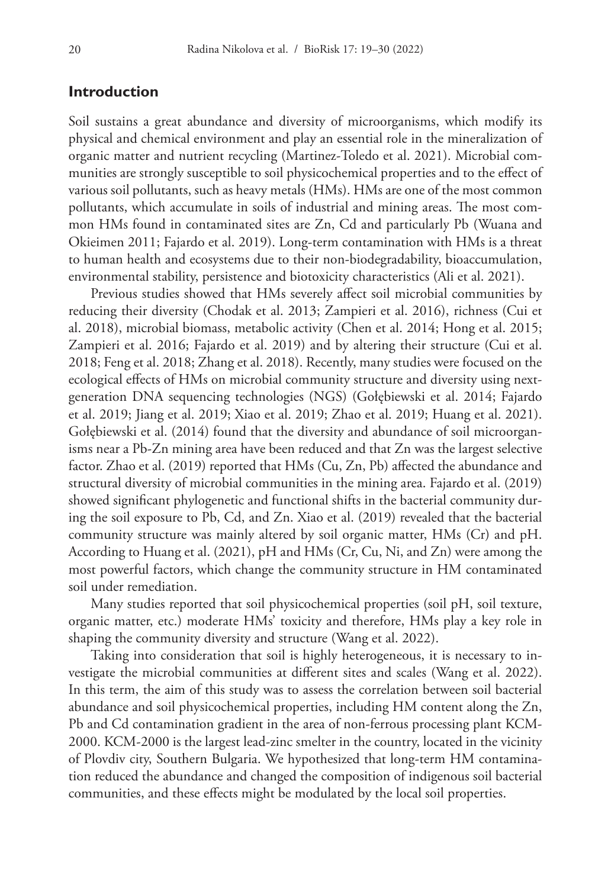# **Introduction**

Soil sustains a great abundance and diversity of microorganisms, which modify its physical and chemical environment and play an essential role in the mineralization of organic matter and nutrient recycling (Martinez-Toledo et al. 2021). Microbial communities are strongly susceptible to soil physicochemical properties and to the effect of various soil pollutants, such as heavy metals (HMs). HMs are one of the most common pollutants, which accumulate in soils of industrial and mining areas. The most common HMs found in contaminated sites are Zn, Cd and particularly Pb (Wuana and Okieimen 2011; Fajardo et al. 2019). Long-term contamination with HMs is a threat to human health and ecosystems due to their non-biodegradability, bioaccumulation, environmental stability, persistence and biotoxicity characteristics (Ali et al. 2021).

Previous studies showed that HMs severely affect soil microbial communities by reducing their diversity (Chodak et al. 2013; Zampieri et al. 2016), richness (Cui et al. 2018), microbial biomass, metabolic activity (Chen et al. 2014; Hong et al. 2015; Zampieri et al. 2016; Fajardo et al. 2019) and by altering their structure (Cui et al. 2018; Feng et al. 2018; Zhang et al. 2018). Recently, many studies were focused on the ecological effects of HMs on microbial community structure and diversity using nextgeneration DNA sequencing technologies (NGS) (Gołębiewski et al. 2014; Fajardo et al. 2019; Jiang et al. 2019; Xiao et al. 2019; Zhao et al. 2019; Huang et al. 2021). Gołębiewski et al. (2014) found that the diversity and abundance of soil microorganisms near a Pb-Zn mining area have been reduced and that Zn was the largest selective factor. Zhao et al. (2019) reported that HMs (Cu, Zn, Pb) affected the abundance and structural diversity of microbial communities in the mining area. Fajardo et al. (2019) showed significant phylogenetic and functional shifts in the bacterial community during the soil exposure to Pb, Cd, and Zn. Xiao et al. (2019) revealed that the bacterial community structure was mainly altered by soil organic matter, HMs (Cr) and pH. According to Huang et al. (2021), pH and HMs (Cr, Cu, Ni, and Zn) were among the most powerful factors, which change the community structure in HM contaminated soil under remediation.

Many studies reported that soil physicochemical properties (soil pH, soil texture, organic matter, etc.) moderate HMs' toxicity and therefore, HMs play a key role in shaping the community diversity and structure (Wang et al. 2022).

Taking into consideration that soil is highly heterogeneous, it is necessary to investigate the microbial communities at different sites and scales (Wang et al. 2022). In this term, the aim of this study was to assess the correlation between soil bacterial abundance and soil physicochemical properties, including HM content along the Zn, Pb and Cd contamination gradient in the area of non-ferrous processing plant KCM-2000. KCM-2000 is the largest lead-zinc smelter in the country, located in the vicinity of Plovdiv city, Southern Bulgaria. We hypothesized that long-term HM contamination reduced the abundance and changed the composition of indigenous soil bacterial communities, and these effects might be modulated by the local soil properties.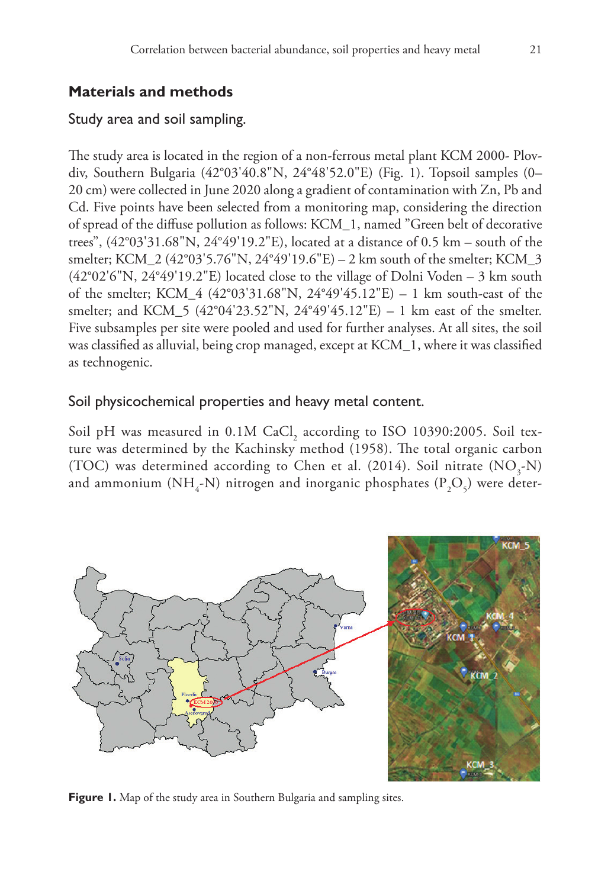# **Materials and methods**

# Study area and soil sampling.

The study area is located in the region of a non-ferrous metal plant KCM 2000- Plovdiv, Southern Bulgaria (42°03'40.8"N, 24°48'52.0"E) (Fig. 1). Topsoil samples (0– 20 cm) were collected in June 2020 along a gradient of contamination with Zn, Pb and Cd. Five points have been selected from a monitoring map, considering the direction of spread of the diffuse pollution as follows: KCM\_1, named "Green belt of decorative trees", (42°03'31.68"N, 24°49'19.2"E), located at a distance of 0.5 km – south of the smelter; KCM\_2 (42°03'5.76"N, 24°49'19.6"E) – 2 km south of the smelter; KCM\_3  $(42°02'6''N, 24°49'19.2''E)$  located close to the village of Dolni Voden – 3 km south of the smelter; KCM\_4 (42°03'31.68"N, 24°49'45.12"E) – 1 km south-east of the smelter; and KCM\_5 (42°04'23.52"N, 24°49'45.12"E) – 1 km east of the smelter. Five subsamples per site were pooled and used for further analyses. At all sites, the soil was classified as alluvial, being crop managed, except at KCM\_1, where it was classified as technogenic.

## Soil physicochemical properties and heavy metal content.

Soil pH was measured in  $0.1M$  CaCl<sub>2</sub> according to ISO 10390:2005. Soil texture was determined by the Kachinsky method (1958). The total organic carbon (TOC) was determined according to Chen et al. (2014). Soil nitrate  $(NO<sub>3</sub>-N)$ and ammonium (NH<sub>4</sub>-N) nitrogen and inorganic phosphates (P<sub>2</sub>O<sub>5</sub>) were deter-



**Figure 1.** Map of the study area in Southern Bulgaria and sampling sites.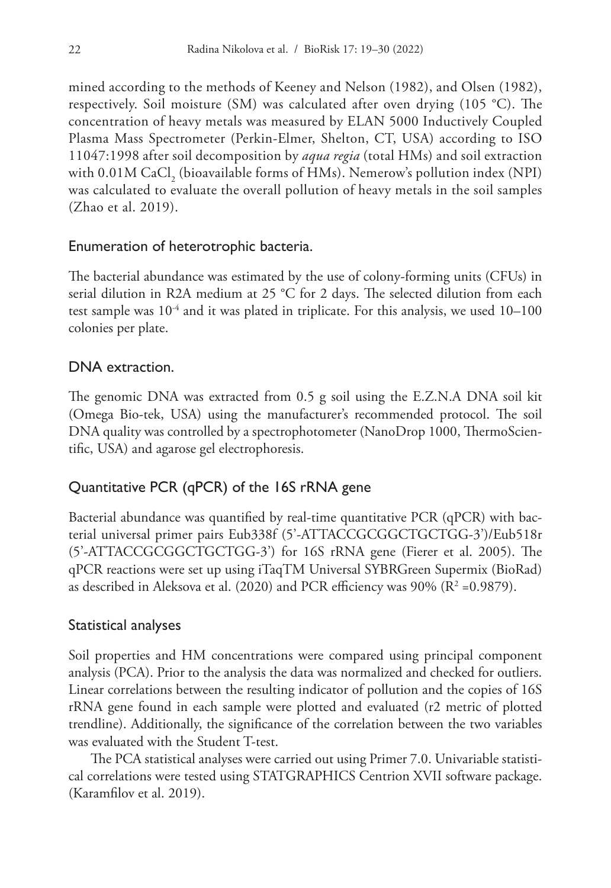mined according to the methods of Keeney and Nelson (1982), and Olsen (1982), respectively. Soil moisture (SM) was calculated after oven drying (105 °C). The concentration of heavy metals was measured by ELAN 5000 Inductively Coupled Plasma Mass Spectrometer (Perkin-Elmer, Shelton, CT, USA) according to ISO 11047:1998 after soil decomposition by *aqua regia* (total HMs) and soil extraction with  $0.01M$  CaCl<sub>2</sub> (bioavailable forms of HMs). Nemerow's pollution index (NPI) was calculated to evaluate the overall pollution of heavy metals in the soil samples (Zhao et al. 2019).

## Enumeration of heterotrophic bacteria.

The bacterial abundance was estimated by the use of colony-forming units (CFUs) in serial dilution in R2A medium at 25 °C for 2 days. The selected dilution from each test sample was  $10^{-4}$  and it was plated in triplicate. For this analysis, we used  $10-100$ colonies per plate.

#### DNA extraction.

The genomic DNA was extracted from 0.5 g soil using the E.Z.N.A DNA soil kit (Omega Bio-tek, USA) using the manufacturer's recommended protocol. The soil DNA quality was controlled by a spectrophotometer (NanoDrop 1000, ThermoScientific, USA) and agarose gel electrophoresis.

# Quantitative PCR (qPCR) of the 16S rRNA gene

Bacterial abundance was quantified by real-time quantitative PCR (qPCR) with bacterial universal primer pairs Eub338f (5'-ATTACCGCGGCTGCTGG-3')/Eub518r (5'-ATTACCGCGGCTGCTGG-3') for 16S rRNA gene (Fierer et al. 2005). The qPCR reactions were set up using iTaqTM Universal SYBRGreen Supermix (BioRad) as described in Aleksova et al. (2020) and PCR efficiency was 90% (R $^{2}$  =0.9879).

#### Statistical analyses

Soil properties and HM concentrations were compared using principal component analysis (PCA). Prior to the analysis the data was normalized and checked for outliers. Linear correlations between the resulting indicator of pollution and the copies of 16S rRNA gene found in each sample were plotted and evaluated (r2 metric of plotted trendline). Additionally, the significance of the correlation between the two variables was evaluated with the Student T-test.

The PCA statistical analyses were carried out using Primer 7.0. Univariable statistical correlations were tested using STATGRAPHICS Centrion XVII software package. (Karamfilov et al. 2019).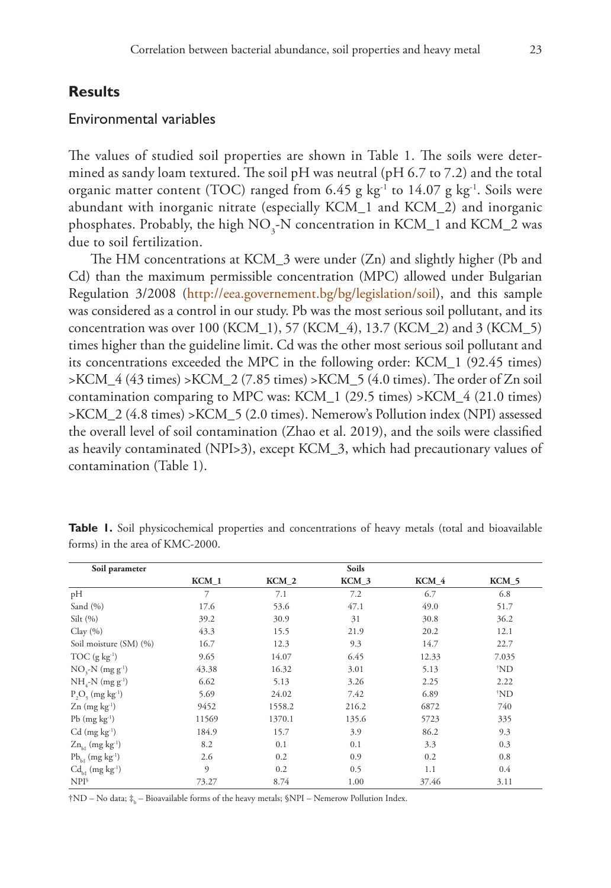# **Results**

#### Environmental variables

The values of studied soil properties are shown in Table 1. The soils were determined as sandy loam textured. The soil pH was neutral (pH 6.7 to 7.2) and the total organic matter content (TOC) ranged from  $6.45$  g kg<sup>-1</sup> to  $14.07$  g kg<sup>-1</sup>. Soils were abundant with inorganic nitrate (especially KCM\_1 and KCM\_2) and inorganic phosphates. Probably, the high  $NO_3$ -N concentration in KCM\_1 and KCM\_2 was due to soil fertilization.

The HM concentrations at KCM\_3 were under (Zn) and slightly higher (Pb and Cd) than the maximum permissible concentration (MPC) allowed under Bulgarian Regulation 3/2008 [\(http://eea.governement.bg/bg/legislation/soil\)](http://eea.governement.bg/bg/legislation/soil), and this sample was considered as a control in our study. Pb was the most serious soil pollutant, and its concentration was over 100 (KCM\_1), 57 (KCM\_4), 13.7 (KCM\_2) and 3 (KCM\_5) times higher than the guideline limit. Cd was the other most serious soil pollutant and its concentrations exceeded the MPC in the following order: KCM\_1 (92.45 times)  $>$ KCM  $/4$  (43 times)  $>$ KCM  $/2$  (7.85 times)  $>$ KCM  $/5$  (4.0 times). The order of Zn soil contamination comparing to MPC was: KCM\_1 (29.5 times) >KCM\_4 (21.0 times) >KCM\_2 (4.8 times) >KCM\_5 (2.0 times). Nemerow's Pollution index (NPI) assessed the overall level of soil contamination (Zhao et al. 2019), and the soils were classified as heavily contaminated (NPI>3), except KCM\_3, which had precautionary values of contamination (Table 1).

| Soil parameter                         |                |                  | Soils |       |                |
|----------------------------------------|----------------|------------------|-------|-------|----------------|
|                                        | KCM 1          | KCM <sub>2</sub> | KCM 3 | KCM 4 | $KCM_5$        |
| pH                                     | $\overline{7}$ | 7.1              | 7.2   | 6.7   | 6.8            |
| Sand $(%$                              | 17.6           | 53.6             | 47.1  | 49.0  | 51.7           |
| Silt(%)                                | 39.2           | 30.9             | 31    | 30.8  | 36.2           |
| Clay(%)                                | 43.3           | 15.5             | 21.9  | 20.2  | 12.1           |
| Soil moisture (SM) (%)                 | 16.7           | 12.3             | 9.3   | 14.7  | 22.7           |
| $TOC$ (g $kg^{-1}$ )                   | 9.65           | 14.07            | 6.45  | 12.33 | 7.035          |
| $NO3-N (mg g-1)$                       | 43.38          | 16.32            | 3.01  | 5.13  | $^{\dagger}ND$ |
| $NH_{4}$ -N (mg g <sup>-1</sup> )      | 6.62           | 5.13             | 3.26  | 2.25  | 2.22           |
| $P_1O_5$ (mg kg <sup>-1</sup> )        | 5.69           | 24.02            | 7.42  | 6.89  | $^{\dagger}ND$ |
| $Zn$ (mg kg <sup>-1</sup> )            | 9452           | 1558.2           | 216.2 | 6872  | 740            |
| $Pb$ (mg $kg^{-1}$ )                   | 11569          | 1370.1           | 135.6 | 5723  | 335            |
| $Cd$ (mg $kg^{-1}$ )                   | 184.9          | 15.7             | 3.9   | 86.2  | 9.3            |
| $Zn_{b}$ (mg kg <sup>-1</sup> )        | 8.2            | 0.1              | 0.1   | 3.3   | 0.3            |
| $Pb_{k+}$ (mg kg <sup>-1</sup> )       | 2.6            | 0.2              | 0.9   | 0.2   | 0.8            |
| $Cd_{h\hat{z}}$ (mg kg <sup>-1</sup> ) | $\Omega$       | 0.2              | 0.5   | 1.1   | 0.4            |
| $NPI^s$                                | 73.27          | 8.74             | 1.00  | 37.46 | 3.11           |

**Table 1.** Soil physicochemical properties and concentrations of heavy metals (total and bioavailable forms) in the area of KMC-2000.

†ND – No data;  $\ddagger_{\rm b}$  – Bioavailable forms of the heavy metals; §NPI – Nemerow Pollution Index.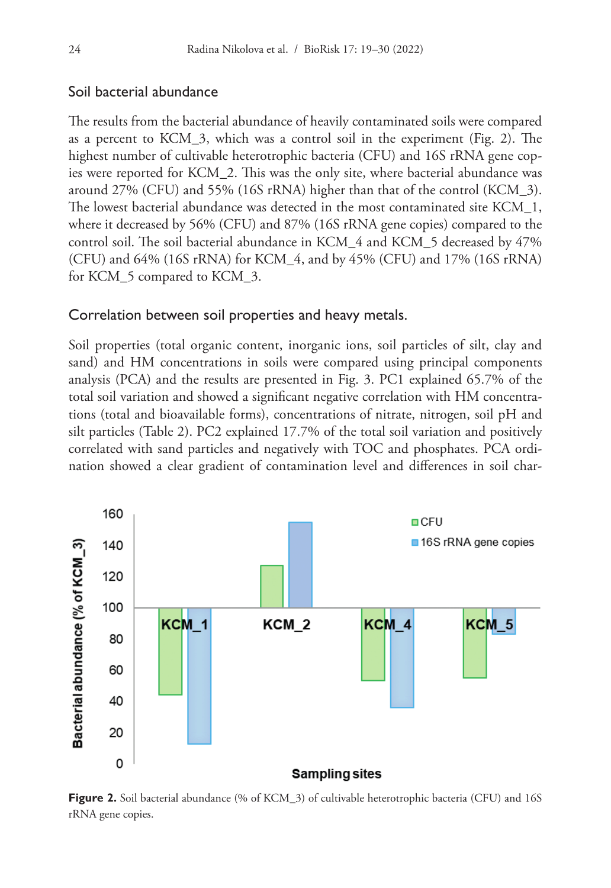# Soil bacterial abundance

The results from the bacterial abundance of heavily contaminated soils were compared as a percent to KCM\_3, which was a control soil in the experiment (Fig. 2). The highest number of cultivable heterotrophic bacteria (CFU) and 16S rRNA gene copies were reported for KCM\_2. This was the only site, where bacterial abundance was around 27% (CFU) and 55% (16S rRNA) higher than that of the control (KCM\_3). The lowest bacterial abundance was detected in the most contaminated site KCM\_1, where it decreased by 56% (CFU) and 87% (16S rRNA gene copies) compared to the control soil. The soil bacterial abundance in KCM\_4 and KCM\_5 decreased by 47% (CFU) and 64% (16S rRNA) for KCM\_4, and by 45% (CFU) and 17% (16S rRNA) for KCM\_5 compared to KCM\_3.

#### Correlation between soil properties and heavy metals.

Soil properties (total organic content, inorganic ions, soil particles of silt, clay and sand) and HM concentrations in soils were compared using principal components analysis (PCA) and the results are presented in Fig. 3. PC1 explained 65.7% of the total soil variation and showed a significant negative correlation with HM concentrations (total and bioavailable forms), concentrations of nitrate, nitrogen, soil pH and silt particles (Table 2). PC2 explained 17.7% of the total soil variation and positively correlated with sand particles and negatively with TOC and phosphates. PCA ordination showed a clear gradient of contamination level and differences in soil char-



**Figure 2.** Soil bacterial abundance (% of KCM\_3) of cultivable heterotrophic bacteria (CFU) and 16S rRNA gene copies.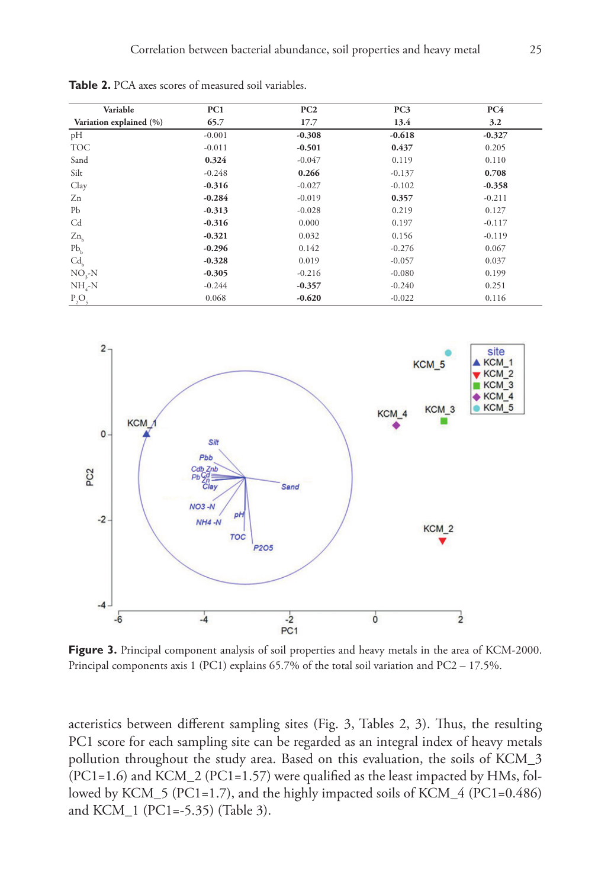| Variable                | PC1      | PC2      | PC <sub>3</sub> | PC4      |
|-------------------------|----------|----------|-----------------|----------|
| Variation explained (%) | 65.7     | 17.7     | 13.4            | 3.2      |
| pH                      | $-0.001$ | $-0.308$ | $-0.618$        | $-0.327$ |
| <b>TOC</b>              | $-0.011$ | $-0.501$ | 0.437           | 0.205    |
| Sand                    | 0.324    | $-0.047$ | 0.119           | 0.110    |
| Silt                    | $-0.248$ | 0.266    | $-0.137$        | 0.708    |
| Clay                    | $-0.316$ | $-0.027$ | $-0.102$        | $-0.358$ |
| Zn                      | $-0.284$ | $-0.019$ | 0.357           | $-0.211$ |
| Pb                      | $-0.313$ | $-0.028$ | 0.219           | 0.127    |
| Cd                      | $-0.316$ | 0.000    | 0.197           | $-0.117$ |
| $Zn_{h}$                | $-0.321$ | 0.032    | 0.156           | $-0.119$ |
| $Pb_{b}$                | $-0.296$ | 0.142    | $-0.276$        | 0.067    |
| Cd <sub>k</sub>         | $-0.328$ | 0.019    | $-0.057$        | 0.037    |
| $NO3-N$                 | $-0.305$ | $-0.216$ | $-0.080$        | 0.199    |
| $NH_{4}-N$              | $-0.244$ | $-0.357$ | $-0.240$        | 0.251    |
| $P_2O_5$                | 0.068    | $-0.620$ | $-0.022$        | 0.116    |

**Table 2.** PCA axes scores of measured soil variables.



Figure 3. Principal component analysis of soil properties and heavy metals in the area of KCM-2000. Principal components axis 1 (PC1) explains 65.7% of the total soil variation and PC2 – 17.5%.

acteristics between different sampling sites (Fig. 3, Tables 2, 3). Thus, the resulting PC1 score for each sampling site can be regarded as an integral index of heavy metals pollution throughout the study area. Based on this evaluation, the soils of KCM\_3 (PC1=1.6) and KCM\_2 (PC1=1.57) were qualified as the least impacted by HMs, followed by KCM\_5 (PC1=1.7), and the highly impacted soils of KCM\_4 (PC1=0.486) and KCM\_1 (PC1=-5.35) (Table 3).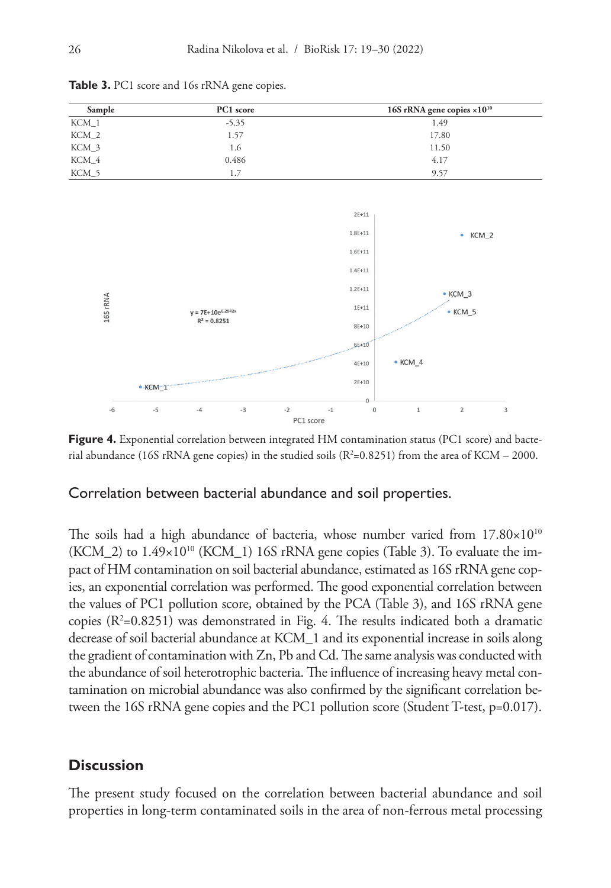

**Table 3.** PC1 score and 16s rRNA gene copies.

**Figure 4.** Exponential correlation between integrated HM contamination status (PC1 score) and bacterial abundance (16S rRNA gene copies) in the studied soils  $(R^2=0.8251)$  from the area of KCM – 2000.

#### Correlation between bacterial abundance and soil properties.

The soils had a high abundance of bacteria, whose number varied from  $17.80\times10^{10}$  $(KCM_2)$  to  $1.49\times10^{10}$  (KCM\_1) 16S rRNA gene copies (Table 3). To evaluate the impact of HM contamination on soil bacterial abundance, estimated as 16S rRNA gene copies, an exponential correlation was performed. The good exponential correlation between the values of PC1 pollution score, obtained by the PCA (Table 3), and 16S rRNA gene copies  $(R^2=0.8251)$  was demonstrated in Fig. 4. The results indicated both a dramatic decrease of soil bacterial abundance at KCM\_1 and its exponential increase in soils along the gradient of contamination with Zn, Pb and Cd. The same analysis was conducted with the abundance of soil heterotrophic bacteria. The influence of increasing heavy metal contamination on microbial abundance was also confirmed by the significant correlation between the 16S rRNA gene copies and the PC1 pollution score (Student T-test, p=0.017).

#### **Discussion**

The present study focused on the correlation between bacterial abundance and soil properties in long-term contaminated soils in the area of non-ferrous metal processing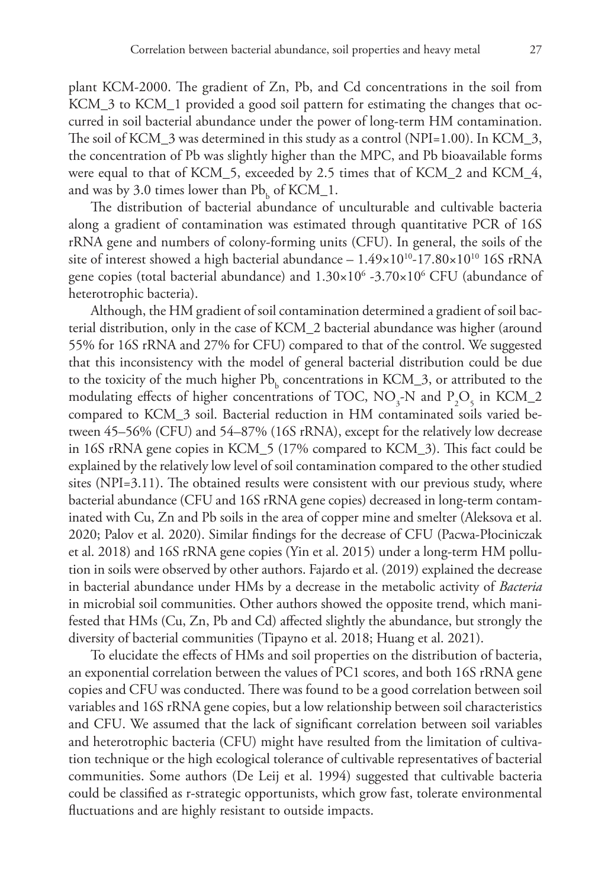plant KCM-2000. The gradient of Zn, Pb, and Cd concentrations in the soil from KCM\_3 to KCM\_1 provided a good soil pattern for estimating the changes that occurred in soil bacterial abundance under the power of long-term HM contamination. The soil of KCM\_3 was determined in this study as a control (NPI=1.00). In KCM\_3, the concentration of Pb was slightly higher than the MPC, and Pb bioavailable forms were equal to that of KCM\_5, exceeded by 2.5 times that of KCM\_2 and KCM\_4, and was by 3.0 times lower than  $Pb<sub>b</sub>$  of KCM\_1.

The distribution of bacterial abundance of unculturable and cultivable bacteria along a gradient of contamination was estimated through quantitative PCR of 16S rRNA gene and numbers of colony-forming units (CFU). In general, the soils of the site of interest showed a high bacterial abundance  $-1.49 \times 10^{10}$ -17.80 $\times 10^{10}$  16S rRNA gene copies (total bacterial abundance) and  $1.30\times10^6$  -3.70 $\times10^6$  CFU (abundance of heterotrophic bacteria).

Although, the HM gradient of soil contamination determined a gradient of soil bacterial distribution, only in the case of KCM\_2 bacterial abundance was higher (around 55% for 16S rRNA and 27% for CFU) compared to that of the control. We suggested that this inconsistency with the model of general bacterial distribution could be due to the toxicity of the much higher  $Pb<sub>b</sub>$  concentrations in KCM\_3, or attributed to the modulating effects of higher concentrations of TOC,  $NO<sub>3</sub>$ -N and  $P<sub>2</sub>O<sub>5</sub>$  in KCM\_2 compared to KCM\_3 soil. Bacterial reduction in HM contaminated soils varied between 45–56% (CFU) and 54–87% (16S rRNA), except for the relatively low decrease in 16S rRNA gene copies in KCM\_5 (17% compared to KCM\_3). This fact could be explained by the relatively low level of soil contamination compared to the other studied sites (NPI=3.11). The obtained results were consistent with our previous study, where bacterial abundance (CFU and 16S rRNA gene copies) decreased in long-term contaminated with Cu, Zn and Pb soils in the area of copper mine and smelter (Aleksova et al. 2020; Palov et al. 2020). Similar findings for the decrease of CFU (Pacwa-Płociniczak et al. 2018) and 16S rRNA gene copies (Yin et al. 2015) under a long-term HM pollution in soils were observed by other authors. Fajardo et al. (2019) explained the decrease in bacterial abundance under HMs by a decrease in the metabolic activity of *Bacteria* in microbial soil communities. Other authors showed the opposite trend, which manifested that HMs (Cu, Zn, Pb and Cd) affected slightly the abundance, but strongly the diversity of bacterial communities (Tipayno et al. 2018; Huang et al. 2021).

To elucidate the effects of HMs and soil properties on the distribution of bacteria, an exponential correlation between the values of PC1 scores, and both 16S rRNA gene copies and CFU was conducted. There was found to be a good correlation between soil variables and 16S rRNA gene copies, but a low relationship between soil characteristics and CFU. We assumed that the lack of significant correlation between soil variables and heterotrophic bacteria (CFU) might have resulted from the limitation of cultivation technique or the high ecological tolerance of cultivable representatives of bacterial communities. Some authors (De Leij et al. 1994) suggested that cultivable bacteria could be classified as r-strategic opportunists, which grow fast, tolerate environmental fluctuations and are highly resistant to outside impacts.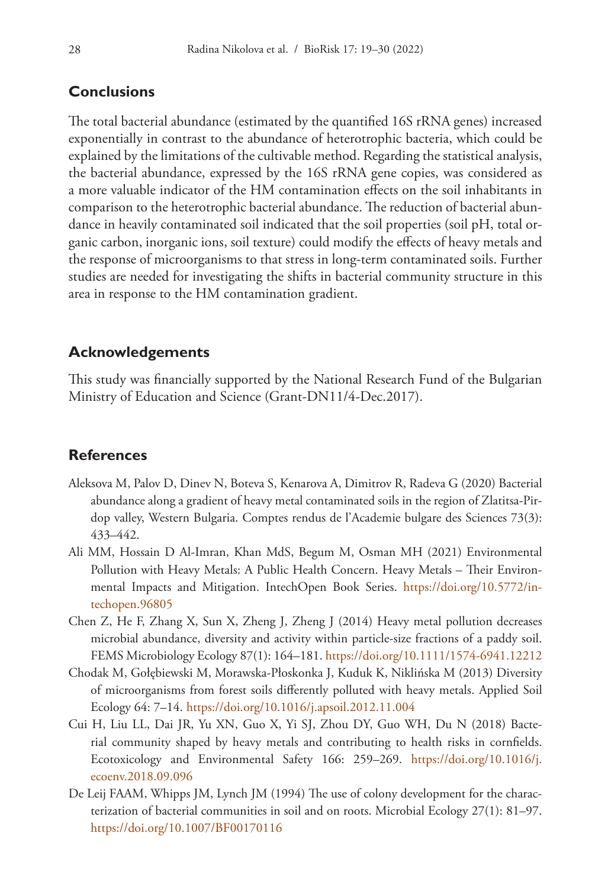# **Conclusions**

The total bacterial abundance (estimated by the quantified 16S rRNA genes) increased exponentially in contrast to the abundance of heterotrophic bacteria, which could be explained by the limitations of the cultivable method. Regarding the statistical analysis, the bacterial abundance, expressed by the 16S rRNA gene copies, was considered as a more valuable indicator of the HM contamination effects on the soil inhabitants in comparison to the heterotrophic bacterial abundance. The reduction of bacterial abundance in heavily contaminated soil indicated that the soil properties (soil pH, total organic carbon, inorganic ions, soil texture) could modify the effects of heavy metals and the response of microorganisms to that stress in long-term contaminated soils. Further studies are needed for investigating the shifts in bacterial community structure in this area in response to the HM contamination gradient.

# **Acknowledgements**

This study was financially supported by the National Research Fund of the Bulgarian Ministry of Education and Science (Grant-DN11/4-Dec.2017).

# **References**

- Aleksova M, Palov D, Dinev N, Boteva S, Kenarova A, Dimitrov R, Radeva G (2020) Bacterial abundance along a gradient of heavy metal contaminated soils in the region of Zlatitsa-Pirdop valley, Western Bulgaria. Comptes rendus de l'Academie bulgare des Sciences 73(3): 433–442.
- Ali MM, Hossain D Al-Imran, Khan MdS, Begum M, Osman MH (2021) Environmental Pollution with Heavy Metals: A Public Health Concern. Heavy Metals – Their Environmental Impacts and Mitigation. IntechOpen Book Series. [https://doi.org/10.5772/in](https://doi.org/10.5772/intechopen.96805)[techopen.96805](https://doi.org/10.5772/intechopen.96805)
- Chen Z, He F, Zhang X, Sun X, Zheng J, Zheng J (2014) Heavy metal pollution decreases microbial abundance, diversity and activity within particle-size fractions of a paddy soil. FEMS Microbiology Ecology 87(1): 164–181.<https://doi.org/10.1111/1574-6941.12212>
- Chodak M, Gołębiewski M, Morawska-Płoskonka J, Kuduk K, Niklińska M (2013) Diversity of microorganisms from forest soils differently polluted with heavy metals. Applied Soil Ecology 64: 7–14. <https://doi.org/10.1016/j.apsoil.2012.11.004>
- Cui H, Liu LL, Dai JR, Yu XN, Guo X, Yi SJ, Zhou DY, Guo WH, Du N (2018) Bacterial community shaped by heavy metals and contributing to health risks in cornfields. Ecotoxicology and Environmental Safety 166: 259–269. [https://doi.org/10.1016/j.](https://doi.org/10.1016/j.ecoenv.2018.09.096) [ecoenv.2018.09.096](https://doi.org/10.1016/j.ecoenv.2018.09.096)
- De Leij FAAM, Whipps JM, Lynch JM (1994) The use of colony development for the characterization of bacterial communities in soil and on roots. Microbial Ecology 27(1): 81–97. <https://doi.org/10.1007/BF00170116>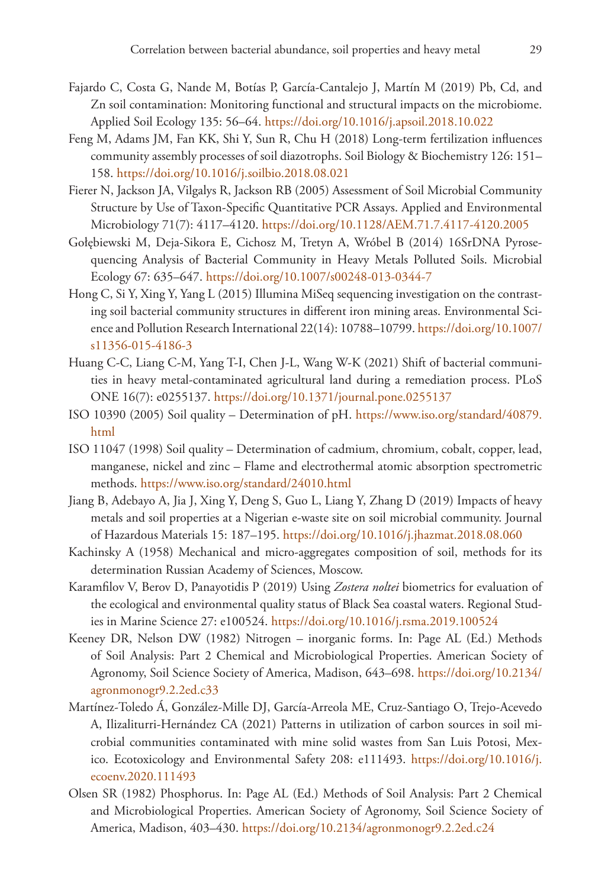- Fajardo C, Costa G, Nande M, Botías P, García-Cantalejo J, Martín M (2019) Pb, Cd, and Zn soil contamination: Monitoring functional and structural impacts on the microbiome. Applied Soil Ecology 135: 56–64. <https://doi.org/10.1016/j.apsoil.2018.10.022>
- Feng M, Adams JM, Fan KK, Shi Y, Sun R, Chu H (2018) Long-term fertilization influences community assembly processes of soil diazotrophs. Soil Biology & Biochemistry 126: 151– 158.<https://doi.org/10.1016/j.soilbio.2018.08.021>
- Fierer N, Jackson JA, Vilgalys R, Jackson RB (2005) Assessment of Soil Microbial Community Structure by Use of Taxon-Specific Quantitative PCR Assays. Applied and Environmental Microbiology 71(7): 4117–4120. <https://doi.org/10.1128/AEM.71.7.4117-4120.2005>
- Gołębiewski M, Deja-Sikora E, Cichosz M, Tretyn A, Wróbel B (2014) 16SrDNA Pyrosequencing Analysis of Bacterial Community in Heavy Metals Polluted Soils. Microbial Ecology 67: 635–647. <https://doi.org/10.1007/s00248-013-0344-7>
- Hong C, Si Y, Xing Y, Yang L (2015) Illumina MiSeq sequencing investigation on the contrasting soil bacterial community structures in different iron mining areas. Environmental Science and Pollution Research International 22(14): 10788–10799. [https://doi.org/10.1007/](https://doi.org/10.1007/s11356-015-4186-3) [s11356-015-4186-3](https://doi.org/10.1007/s11356-015-4186-3)
- Huang C-C, Liang C-M, Yang T-I, Chen J-L, Wang W-K (2021) Shift of bacterial communities in heavy metal-contaminated agricultural land during a remediation process. PLoS ONE 16(7): e0255137. <https://doi.org/10.1371/journal.pone.0255137>
- ISO 10390 (2005) Soil quality Determination of pH. [https://www.iso.org/standard/40879.](https://www.iso.org/standard/40879.html) [html](https://www.iso.org/standard/40879.html)
- ISO 11047 (1998) Soil quality Determination of cadmium, chromium, cobalt, copper, lead, manganese, nickel and zinc – Flame and electrothermal atomic absorption spectrometric methods. <https://www.iso.org/standard/24010.html>
- Jiang B, Adebayo A, Jia J, Xing Y, Deng S, Guo L, Liang Y, Zhang D (2019) Impacts of heavy metals and soil properties at a Nigerian e-waste site on soil microbial community. Journal of Hazardous Materials 15: 187–195. <https://doi.org/10.1016/j.jhazmat.2018.08.060>
- Kachinsky A (1958) Mechanical and micro-aggregates composition of soil, methods for its determination Russian Academy of Sciences, Moscow.
- Karamfilov V, Berov D, Panayotidis P (2019) Using *Zostera noltei* biometrics for evaluation of the ecological and environmental quality status of Black Sea coastal waters. Regional Studies in Marine Science 27: e100524. <https://doi.org/10.1016/j.rsma.2019.100524>
- Keeney DR, Nelson DW (1982) Nitrogen inorganic forms. In: Page AL (Ed.) Methods of Soil Analysis: Part 2 Chemical and Microbiological Properties. American Society of Agronomy, Soil Science Society of America, Madison, 643–698. [https://doi.org/10.2134/](https://doi.org/10.2134/agronmonogr9.2.2ed.c33) [agronmonogr9.2.2ed.c33](https://doi.org/10.2134/agronmonogr9.2.2ed.c33)
- Martínez-Toledo Á, González-Mille DJ, García-Arreola ME, Cruz-Santiago O, Trejo-Acevedo A, Ilizaliturri-Hernández CA (2021) Patterns in utilization of carbon sources in soil microbial communities contaminated with mine solid wastes from San Luis Potosi, Mexico. Ecotoxicology and Environmental Safety 208: e111493. [https://doi.org/10.1016/j.](https://doi.org/10.1016/j.ecoenv.2020.111493) [ecoenv.2020.111493](https://doi.org/10.1016/j.ecoenv.2020.111493)
- Olsen SR (1982) Phosphorus. In: Page AL (Ed.) Methods of Soil Analysis: Part 2 Chemical and Microbiological Properties. American Society of Agronomy, Soil Science Society of America, Madison, 403–430.<https://doi.org/10.2134/agronmonogr9.2.2ed.c24>